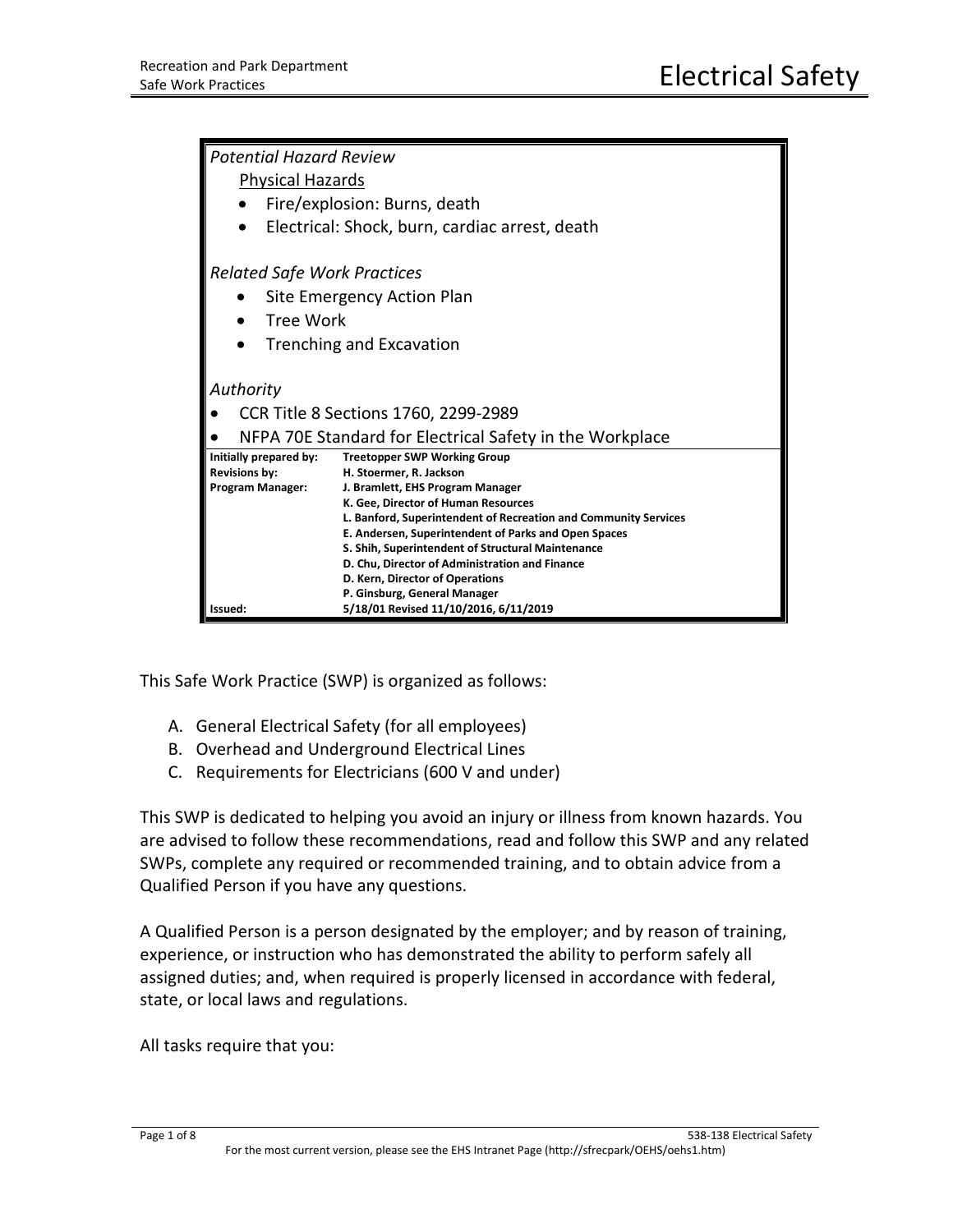| <b>Potential Hazard Review</b>                           |                                                                 |  |
|----------------------------------------------------------|-----------------------------------------------------------------|--|
| <b>Physical Hazards</b>                                  |                                                                 |  |
| Fire/explosion: Burns, death                             |                                                                 |  |
|                                                          | Electrical: Shock, burn, cardiac arrest, death                  |  |
| <b>Related Safe Work Practices</b>                       |                                                                 |  |
| Site Emergency Action Plan                               |                                                                 |  |
| Tree Work                                                |                                                                 |  |
| <b>Trenching and Excavation</b>                          |                                                                 |  |
|                                                          |                                                                 |  |
| Authority                                                |                                                                 |  |
| CCR Title 8 Sections 1760, 2299-2989                     |                                                                 |  |
| NFPA 70E Standard for Electrical Safety in the Workplace |                                                                 |  |
| Initially prepared by:                                   | <b>Treetopper SWP Working Group</b>                             |  |
| <b>Revisions by:</b><br><b>Program Manager:</b>          | H. Stoermer, R. Jackson<br>J. Bramlett, EHS Program Manager     |  |
|                                                          | K. Gee, Director of Human Resources                             |  |
|                                                          | L. Banford, Superintendent of Recreation and Community Services |  |
|                                                          | E. Andersen, Superintendent of Parks and Open Spaces            |  |
|                                                          | S. Shih, Superintendent of Structural Maintenance               |  |
|                                                          | D. Chu, Director of Administration and Finance                  |  |
|                                                          | D. Kern, Director of Operations<br>P. Ginsburg, General Manager |  |
| Issued:                                                  | 5/18/01 Revised 11/10/2016, 6/11/2019                           |  |

This Safe Work Practice (SWP) is organized as follows:

- A. General Electrical Safety (for all employees)
- B. Overhead and Underground Electrical Lines
- C. Requirements for Electricians (600 V and under)

This SWP is dedicated to helping you avoid an injury or illness from known hazards. You are advised to follow these recommendations, read and follow this SWP and any related SWPs, complete any required or recommended training, and to obtain advice from a Qualified Person if you have any questions.

A Qualified Person is a person designated by the employer; and by reason of training, experience, or instruction who has demonstrated the ability to perform safely all assigned duties; and, when required is properly licensed in accordance with federal, state, or local laws and regulations.

All tasks require that you: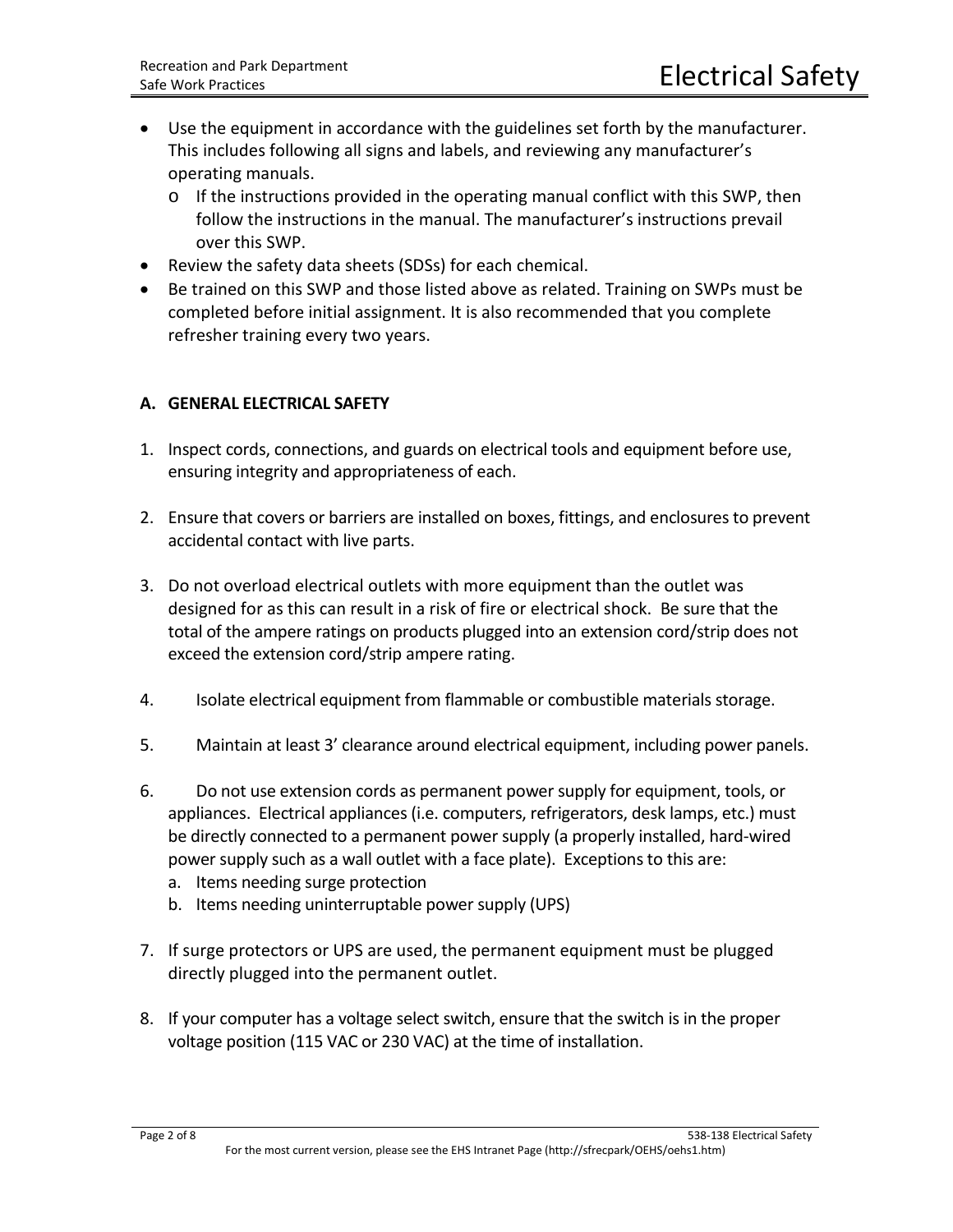- Use the equipment in accordance with the guidelines set forth by the manufacturer. This includes following all signs and labels, and reviewing any manufacturer's operating manuals.
	- o If the instructions provided in the operating manual conflict with this SWP, then follow the instructions in the manual. The manufacturer's instructions prevail over this SWP.
- Review the safety data sheets (SDSs) for each chemical.
- Be trained on this SWP and those listed above as related. Training on SWPs must be completed before initial assignment. It is also recommended that you complete refresher training every two years.

#### **A. GENERAL ELECTRICAL SAFETY**

- 1. Inspect cords, connections, and guards on electrical tools and equipment before use, ensuring integrity and appropriateness of each.
- 2. Ensure that covers or barriers are installed on boxes, fittings, and enclosures to prevent accidental contact with live parts.
- 3. Do not overload electrical outlets with more equipment than the outlet was designed for as this can result in a risk of fire or electrical shock. Be sure that the total of the ampere ratings on products plugged into an extension cord/strip does not exceed the extension cord/strip ampere rating.
- 4. Isolate electrical equipment from flammable or combustible materials storage.
- 5. Maintain at least 3' clearance around electrical equipment, including power panels.
- 6. Do not use extension cords as permanent power supply for equipment, tools, or appliances. Electrical appliances (i.e. computers, refrigerators, desk lamps, etc.) must be directly connected to a permanent power supply (a properly installed, hard-wired power supply such as a wall outlet with a face plate). Exceptions to this are:
	- a. Items needing surge protection
	- b. Items needing uninterruptable power supply (UPS)
- 7. If surge protectors or UPS are used, the permanent equipment must be plugged directly plugged into the permanent outlet.
- 8. If your computer has a voltage select switch, ensure that the switch is in the proper voltage position (115 VAC or 230 VAC) at the time of installation.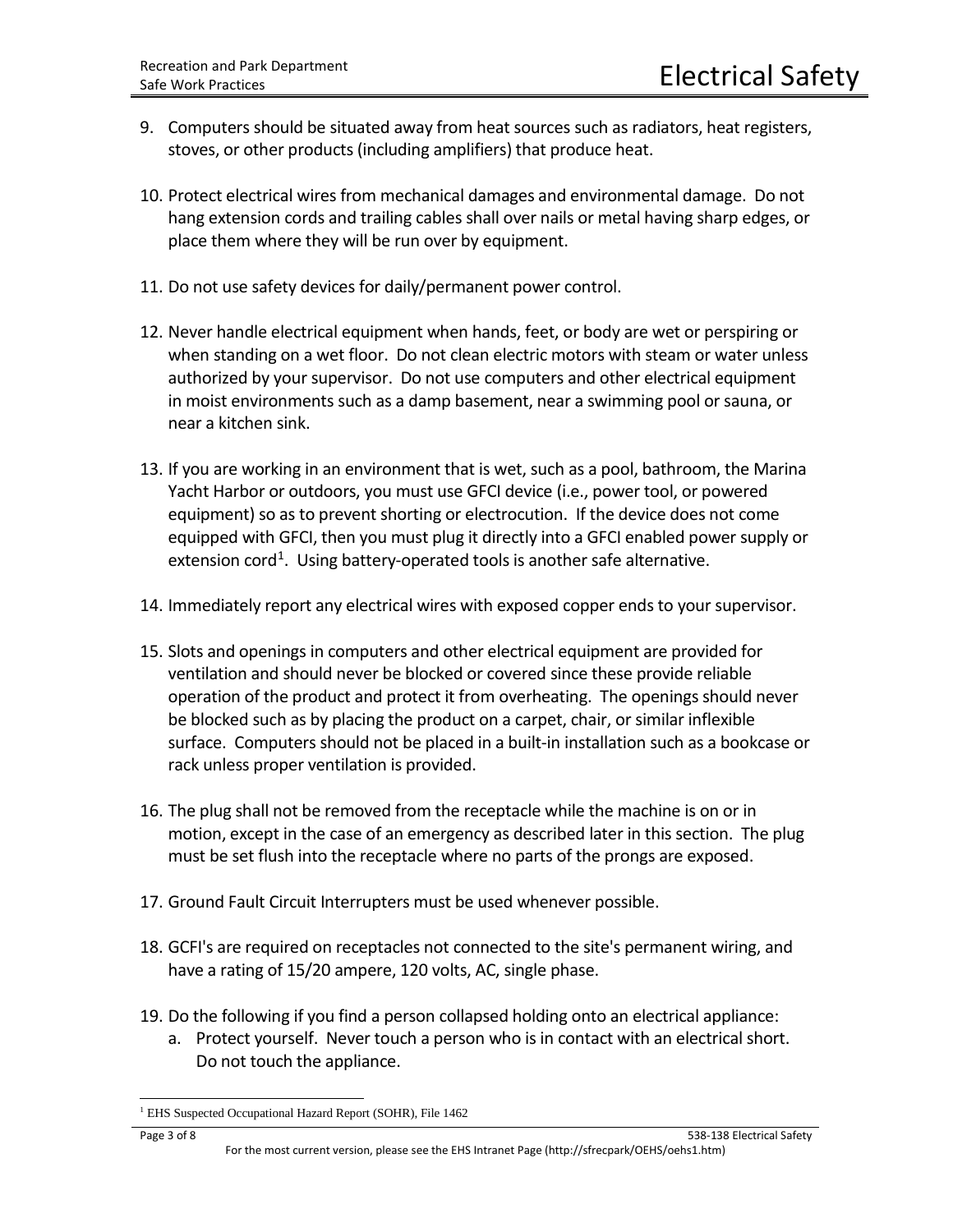- 9. Computers should be situated away from heat sources such as radiators, heat registers, stoves, or other products (including amplifiers) that produce heat.
- 10. Protect electrical wires from mechanical damages and environmental damage. Do not hang extension cords and trailing cables shall over nails or metal having sharp edges, or place them where they will be run over by equipment.
- 11. Do not use safety devices for daily/permanent power control.
- 12. Never handle electrical equipment when hands, feet, or body are wet or perspiring or when standing on a wet floor. Do not clean electric motors with steam or water unless authorized by your supervisor. Do not use computers and other electrical equipment in moist environments such as a damp basement, near a swimming pool or sauna, or near a kitchen sink.
- 13. If you are working in an environment that is wet, such as a pool, bathroom, the Marina Yacht Harbor or outdoors, you must use GFCI device (i.e., power tool, or powered equipment) so as to prevent shorting or electrocution. If the device does not come equipped with GFCI, then you must plug it directly into a GFCI enabled power supply or extension cord<sup>1</sup>. Using battery-operated tools is another safe alternative.
- 14. Immediately report any electrical wires with exposed copper ends to your supervisor.
- 15. Slots and openings in computers and other electrical equipment are provided for ventilation and should never be blocked or covered since these provide reliable operation of the product and protect it from overheating. The openings should never be blocked such as by placing the product on a carpet, chair, or similar inflexible surface. Computers should not be placed in a built-in installation such as a bookcase or rack unless proper ventilation is provided.
- 16. The plug shall not be removed from the receptacle while the machine is on or in motion, except in the case of an emergency as described later in this section. The plug must be set flush into the receptacle where no parts of the prongs are exposed.
- 17. Ground Fault Circuit Interrupters must be used whenever possible.
- 18. GCFI's are required on receptacles not connected to the site's permanent wiring, and have a rating of 15/20 ampere, 120 volts, AC, single phase.
- 19. Do the following if you find a person collapsed holding onto an electrical appliance:
	- a. Protect yourself. Never touch a person who is in contact with an electrical short. Do not touch the appliance.

<span id="page-2-0"></span><sup>&</sup>lt;sup>1</sup> EHS Suspected Occupational Hazard Report (SOHR), File 1462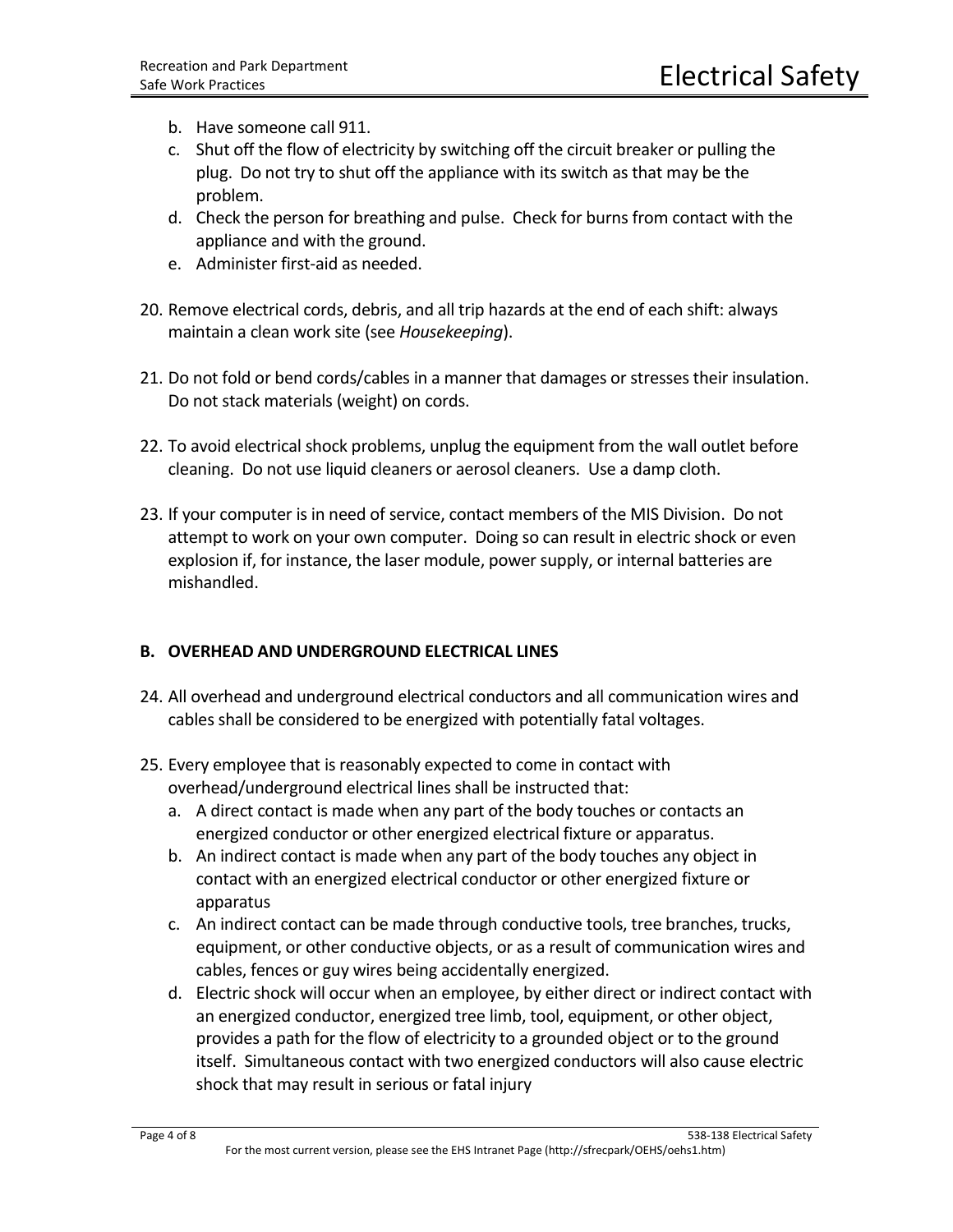- b. Have someone call 911.
- c. Shut off the flow of electricity by switching off the circuit breaker or pulling the plug. Do not try to shut off the appliance with its switch as that may be the problem.
- d. Check the person for breathing and pulse. Check for burns from contact with the appliance and with the ground.
- e. Administer first-aid as needed.
- 20. Remove electrical cords, debris, and all trip hazards at the end of each shift: always maintain a clean work site (see *Housekeeping*).
- 21. Do not fold or bend cords/cables in a manner that damages or stresses their insulation. Do not stack materials (weight) on cords.
- 22. To avoid electrical shock problems, unplug the equipment from the wall outlet before cleaning. Do not use liquid cleaners or aerosol cleaners. Use a damp cloth.
- 23. If your computer is in need of service, contact members of the MIS Division. Do not attempt to work on your own computer. Doing so can result in electric shock or even explosion if, for instance, the laser module, power supply, or internal batteries are mishandled.

## **B. OVERHEAD AND UNDERGROUND ELECTRICAL LINES**

- 24. All overhead and underground electrical conductors and all communication wires and cables shall be considered to be energized with potentially fatal voltages.
- 25. Every employee that is reasonably expected to come in contact with overhead/underground electrical lines shall be instructed that:
	- a. A direct contact is made when any part of the body touches or contacts an energized conductor or other energized electrical fixture or apparatus.
	- b. An indirect contact is made when any part of the body touches any object in contact with an energized electrical conductor or other energized fixture or apparatus
	- c. An indirect contact can be made through conductive tools, tree branches, trucks, equipment, or other conductive objects, or as a result of communication wires and cables, fences or guy wires being accidentally energized.
	- d. Electric shock will occur when an employee, by either direct or indirect contact with an energized conductor, energized tree limb, tool, equipment, or other object, provides a path for the flow of electricity to a grounded object or to the ground itself. Simultaneous contact with two energized conductors will also cause electric shock that may result in serious or fatal injury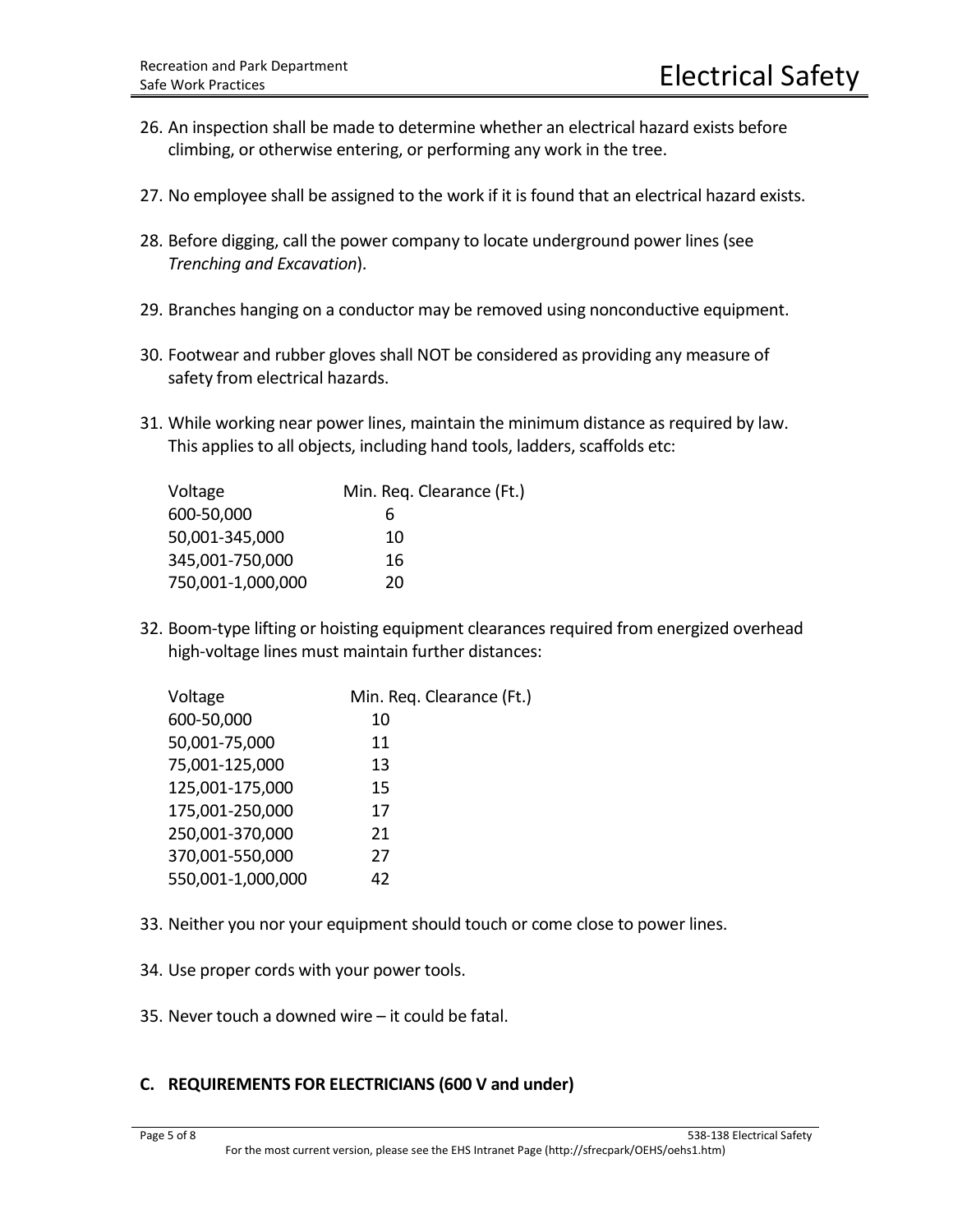- 26. An inspection shall be made to determine whether an electrical hazard exists before climbing, or otherwise entering, or performing any work in the tree.
- 27. No employee shall be assigned to the work if it is found that an electrical hazard exists.
- 28. Before digging, call the power company to locate underground power lines (see *Trenching and Excavation*).
- 29. Branches hanging on a conductor may be removed using nonconductive equipment.
- 30. Footwear and rubber gloves shall NOT be considered as providing any measure of safety from electrical hazards.
- 31. While working near power lines, maintain the minimum distance as required by law. This applies to all objects, including hand tools, ladders, scaffolds etc:

| Voltage           | Min. Req. Clearance (Ft.) |
|-------------------|---------------------------|
| 600-50,000        | 6                         |
| 50,001-345,000    | 10                        |
| 345,001-750,000   | 16                        |
| 750,001-1,000,000 | 20                        |

32. Boom-type lifting or hoisting equipment clearances required from energized overhead high-voltage lines must maintain further distances:

| Voltage           | Min. Req. Clearance (Ft.) |
|-------------------|---------------------------|
| 600-50,000        | 10                        |
| 50,001-75,000     | 11                        |
| 75,001-125,000    | 13                        |
| 125,001-175,000   | 15                        |
| 175,001-250,000   | 17                        |
| 250,001-370,000   | 21                        |
| 370,001-550,000   | 27                        |
| 550,001-1,000,000 | 42                        |

- 33. Neither you nor your equipment should touch or come close to power lines.
- 34. Use proper cords with your power tools.
- 35. Never touch a downed wire it could be fatal.

#### **C. REQUIREMENTS FOR ELECTRICIANS (600 V and under)**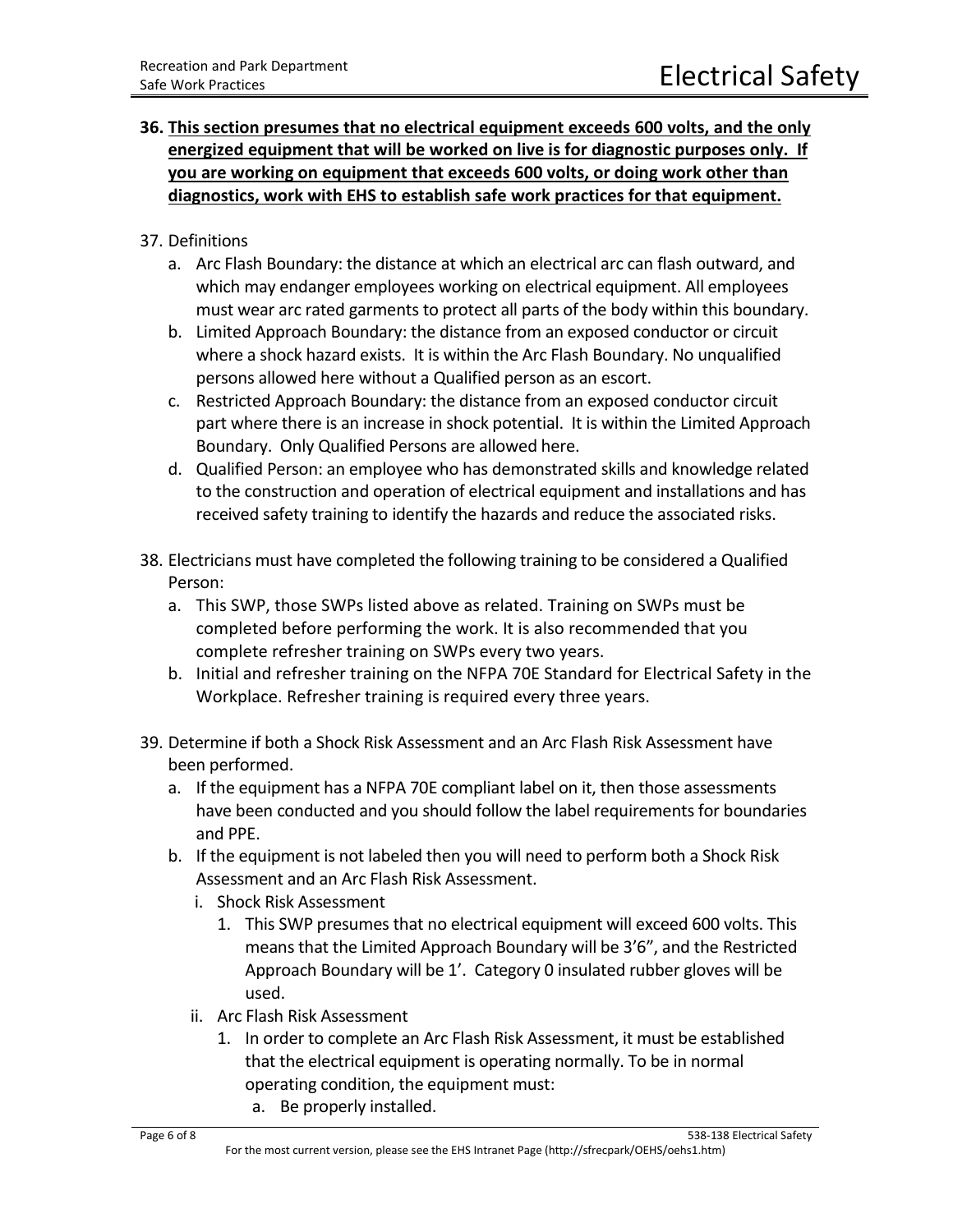# **36. This section presumes that no electrical equipment exceeds 600 volts, and the only energized equipment that will be worked on live is for diagnostic purposes only. If you are working on equipment that exceeds 600 volts, or doing work other than diagnostics, work with EHS to establish safe work practices for that equipment.**

### 37. Definitions

- a. Arc Flash Boundary: the distance at which an electrical arc can flash outward, and which may endanger employees working on electrical equipment. All employees must wear arc rated garments to protect all parts of the body within this boundary.
- b. Limited Approach Boundary: the distance from an exposed conductor or circuit where a shock hazard exists. It is within the Arc Flash Boundary. No unqualified persons allowed here without a Qualified person as an escort.
- c. Restricted Approach Boundary: the distance from an exposed conductor circuit part where there is an increase in shock potential. It is within the Limited Approach Boundary. Only Qualified Persons are allowed here.
- d. Qualified Person: an employee who has demonstrated skills and knowledge related to the construction and operation of electrical equipment and installations and has received safety training to identify the hazards and reduce the associated risks.
- 38. Electricians must have completed the following training to be considered a Qualified Person:
	- a. This SWP, those SWPs listed above as related. Training on SWPs must be completed before performing the work. It is also recommended that you complete refresher training on SWPs every two years.
	- b. Initial and refresher training on the NFPA 70E Standard for Electrical Safety in the Workplace. Refresher training is required every three years.
- 39. Determine if both a Shock Risk Assessment and an Arc Flash Risk Assessment have been performed.
	- a. If the equipment has a NFPA 70E compliant label on it, then those assessments have been conducted and you should follow the label requirements for boundaries and PPE.
	- b. If the equipment is not labeled then you will need to perform both a Shock Risk Assessment and an Arc Flash Risk Assessment.
		- i. Shock Risk Assessment
			- 1. This SWP presumes that no electrical equipment will exceed 600 volts. This means that the Limited Approach Boundary will be 3'6", and the Restricted Approach Boundary will be 1'. Category 0 insulated rubber gloves will be used.
		- ii. Arc Flash Risk Assessment
			- 1. In order to complete an Arc Flash Risk Assessment, it must be established that the electrical equipment is operating normally. To be in normal operating condition, the equipment must:
				- a. Be properly installed.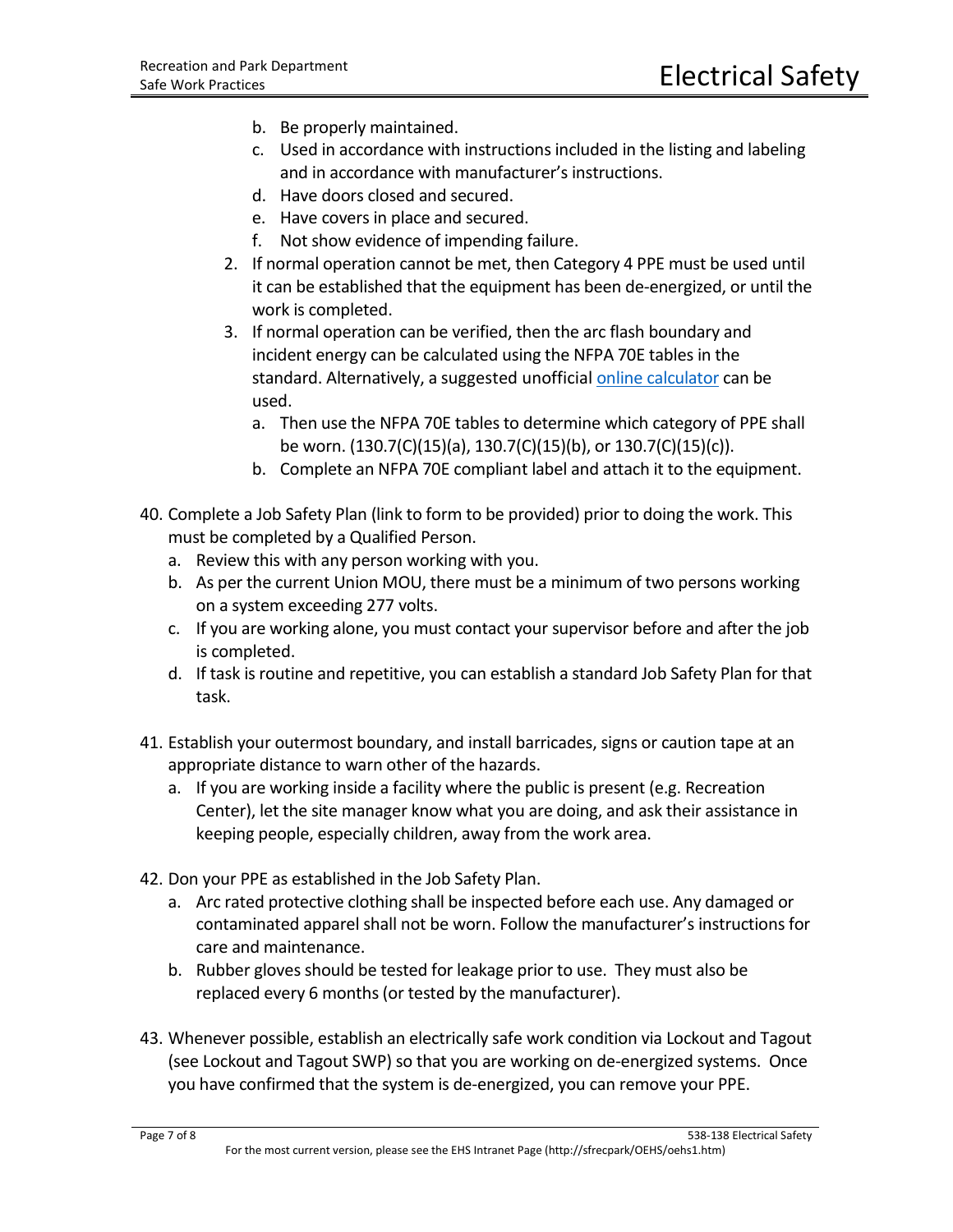- b. Be properly maintained.
- c. Used in accordance with instructions included in the listing and labeling and in accordance with manufacturer's instructions.
- d. Have doors closed and secured.
- e. Have covers in place and secured.
- f. Not show evidence of impending failure.
- 2. If normal operation cannot be met, then Category 4 PPE must be used until it can be established that the equipment has been de-energized, or until the work is completed.
- 3. If normal operation can be verified, then the arc flash boundary and incident energy can be calculated using the NFPA 70E tables in the standard. Alternatively, a suggested unofficial [online calculator](https://www.easypower.com/resources/arc-flash-calculator) can be used.
	- a. Then use the NFPA 70E tables to determine which category of PPE shall be worn. (130.7(C)(15)(a), 130.7(C)(15)(b), or 130.7(C)(15)(c)).
	- b. Complete an NFPA 70E compliant label and attach it to the equipment.
- 40. Complete a Job Safety Plan (link to form to be provided) prior to doing the work. This must be completed by a Qualified Person.
	- a. Review this with any person working with you.
	- b. As per the current Union MOU, there must be a minimum of two persons working on a system exceeding 277 volts.
	- c. If you are working alone, you must contact your supervisor before and after the job is completed.
	- d. If task is routine and repetitive, you can establish a standard Job Safety Plan for that task.
- 41. Establish your outermost boundary, and install barricades, signs or caution tape at an appropriate distance to warn other of the hazards.
	- a. If you are working inside a facility where the public is present (e.g. Recreation Center), let the site manager know what you are doing, and ask their assistance in keeping people, especially children, away from the work area.
- 42. Don your PPE as established in the Job Safety Plan.
	- a. Arc rated protective clothing shall be inspected before each use. Any damaged or contaminated apparel shall not be worn. Follow the manufacturer's instructions for care and maintenance.
	- b. Rubber gloves should be tested for leakage prior to use. They must also be replaced every 6 months (or tested by the manufacturer).
- 43. Whenever possible, establish an electrically safe work condition via Lockout and Tagout (see Lockout and Tagout SWP) so that you are working on de-energized systems. Once you have confirmed that the system is de-energized, you can remove your PPE.